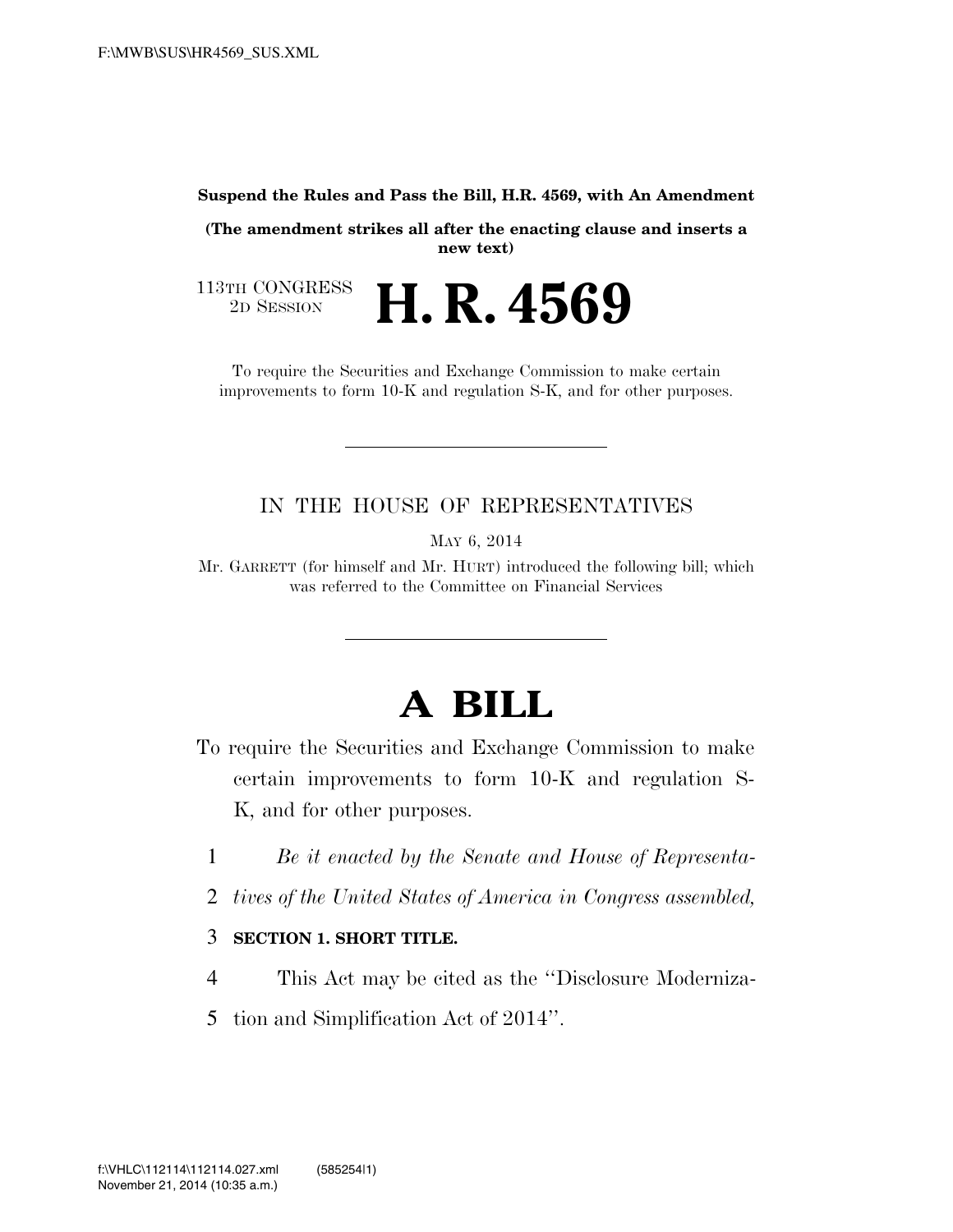#### **Suspend the Rules and Pass the Bill, H.R. 4569, with An Amendment**

**(The amendment strikes all after the enacting clause and inserts a new text)** 

113TH CONGRESS<br>2D SESSION 2D SESSION **H. R. 4569** 

To require the Securities and Exchange Commission to make certain improvements to form 10-K and regulation S-K, and for other purposes.

### IN THE HOUSE OF REPRESENTATIVES

MAY 6, 2014

Mr. GARRETT (for himself and Mr. HURT) introduced the following bill; which was referred to the Committee on Financial Services

# **A BILL**

- To require the Securities and Exchange Commission to make certain improvements to form 10-K and regulation S-K, and for other purposes.
	- 1 *Be it enacted by the Senate and House of Representa-*
	- 2 *tives of the United States of America in Congress assembled,*

#### 3 **SECTION 1. SHORT TITLE.**

- 4 This Act may be cited as the ''Disclosure Moderniza-
- 5 tion and Simplification Act of 2014''.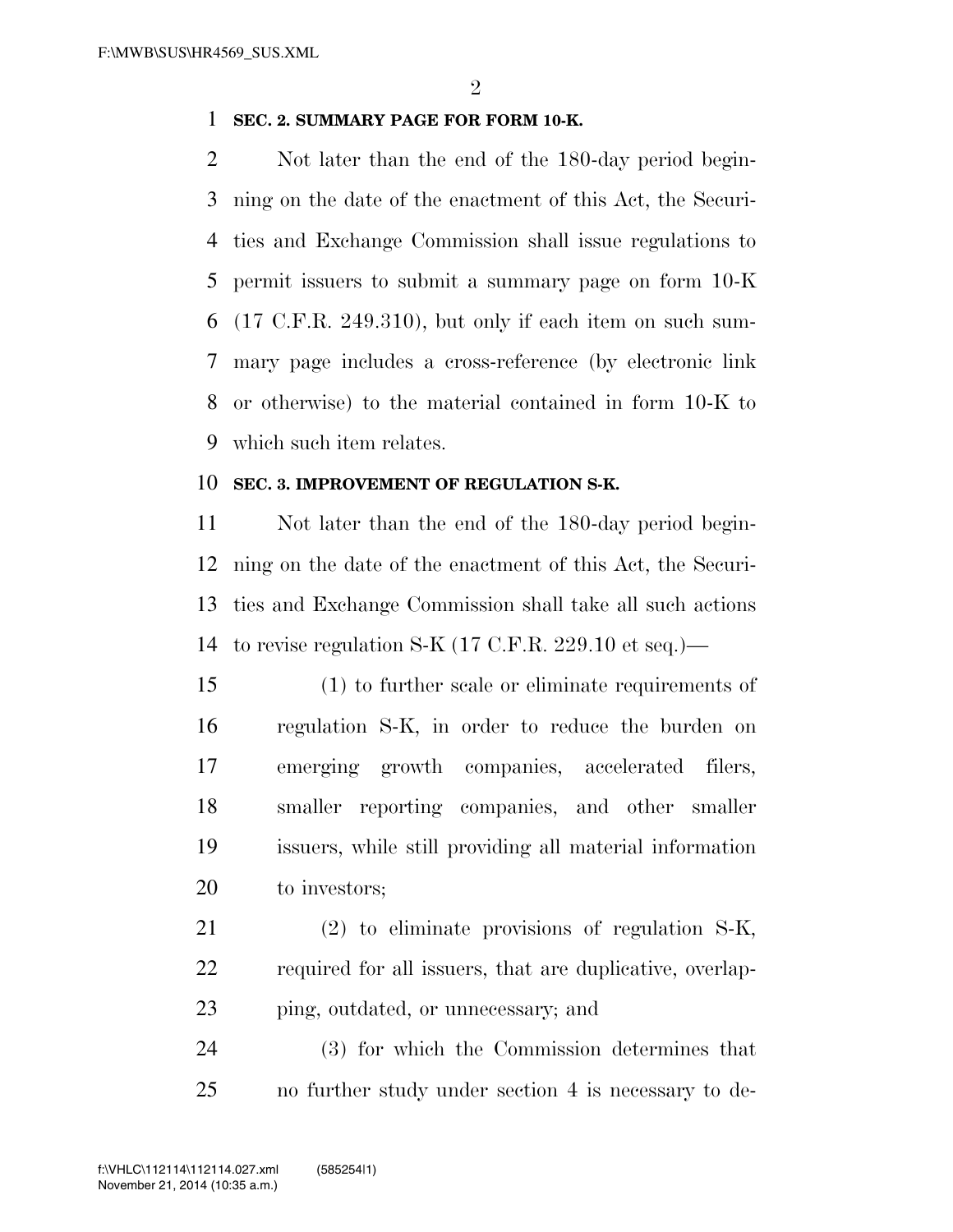#### **SEC. 2. SUMMARY PAGE FOR FORM 10-K.**

 Not later than the end of the 180-day period begin- ning on the date of the enactment of this Act, the Securi- ties and Exchange Commission shall issue regulations to permit issuers to submit a summary page on form 10-K (17 C.F.R. 249.310), but only if each item on such sum- mary page includes a cross-reference (by electronic link or otherwise) to the material contained in form 10-K to which such item relates.

#### **SEC. 3. IMPROVEMENT OF REGULATION S-K.**

 Not later than the end of the 180-day period begin- ning on the date of the enactment of this Act, the Securi- ties and Exchange Commission shall take all such actions to revise regulation S-K (17 C.F.R. 229.10 et seq.)—

 (1) to further scale or eliminate requirements of regulation S-K, in order to reduce the burden on emerging growth companies, accelerated filers, smaller reporting companies, and other smaller issuers, while still providing all material information to investors;

 (2) to eliminate provisions of regulation S-K, required for all issuers, that are duplicative, overlap-ping, outdated, or unnecessary; and

 (3) for which the Commission determines that no further study under section 4 is necessary to de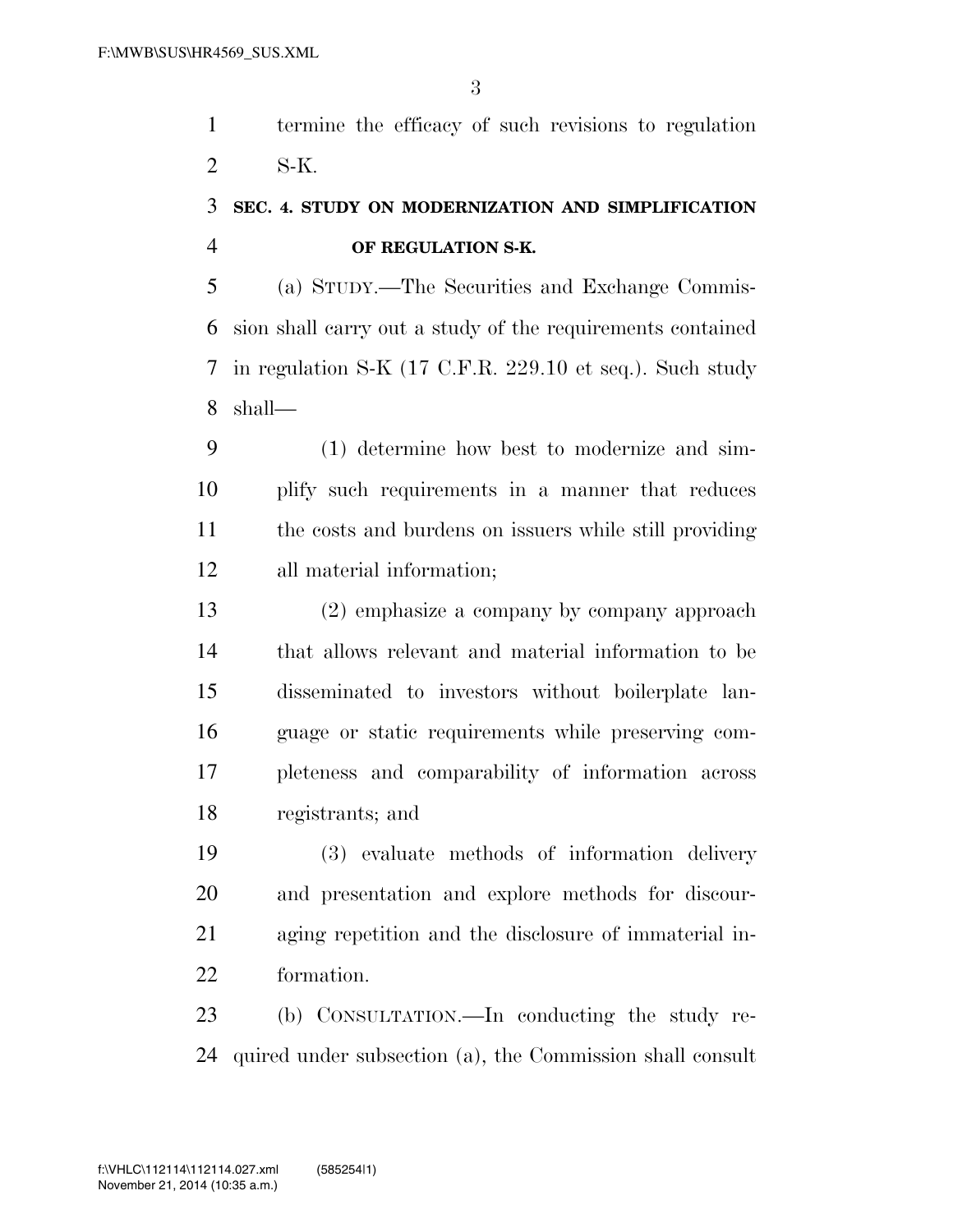termine the efficacy of such revisions to regulation S-K.

## **SEC. 4. STUDY ON MODERNIZATION AND SIMPLIFICATION OF REGULATION S-K.**

 (a) STUDY.—The Securities and Exchange Commis- sion shall carry out a study of the requirements contained in regulation S-K (17 C.F.R. 229.10 et seq.). Such study shall—

 (1) determine how best to modernize and sim- plify such requirements in a manner that reduces the costs and burdens on issuers while still providing all material information;

 (2) emphasize a company by company approach that allows relevant and material information to be disseminated to investors without boilerplate lan- guage or static requirements while preserving com- pleteness and comparability of information across registrants; and

 (3) evaluate methods of information delivery and presentation and explore methods for discour- aging repetition and the disclosure of immaterial in-formation.

 (b) CONSULTATION.—In conducting the study re-quired under subsection (a), the Commission shall consult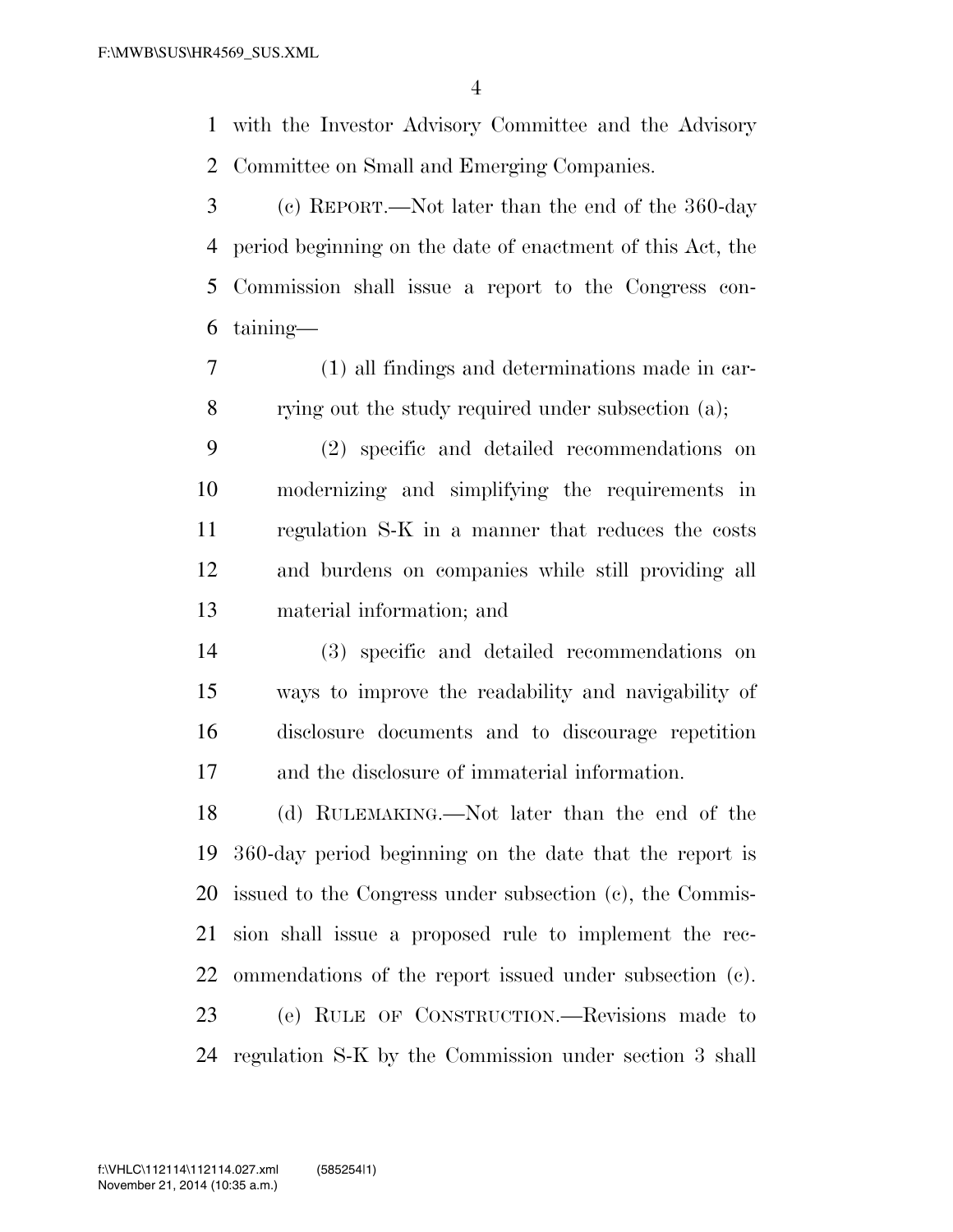with the Investor Advisory Committee and the Advisory Committee on Small and Emerging Companies.

 (c) REPORT.—Not later than the end of the 360-day period beginning on the date of enactment of this Act, the Commission shall issue a report to the Congress con-taining—

 (1) all findings and determinations made in car-rying out the study required under subsection (a);

 (2) specific and detailed recommendations on modernizing and simplifying the requirements in regulation S-K in a manner that reduces the costs and burdens on companies while still providing all material information; and

 (3) specific and detailed recommendations on ways to improve the readability and navigability of disclosure documents and to discourage repetition and the disclosure of immaterial information.

 (d) RULEMAKING.—Not later than the end of the 360-day period beginning on the date that the report is issued to the Congress under subsection (c), the Commis- sion shall issue a proposed rule to implement the rec- ommendations of the report issued under subsection (c). (e) RULE OF CONSTRUCTION.—Revisions made to regulation S-K by the Commission under section 3 shall